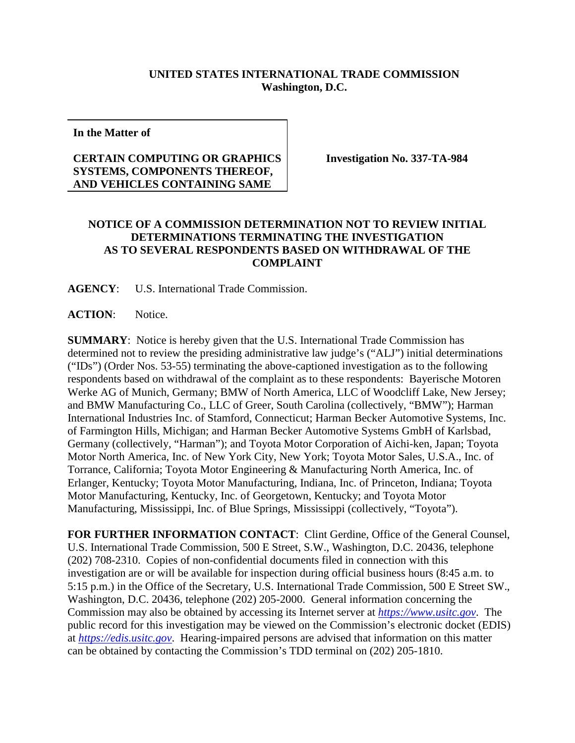## **UNITED STATES INTERNATIONAL TRADE COMMISSION Washington, D.C.**

**In the Matter of**

## **CERTAIN COMPUTING OR GRAPHICS SYSTEMS, COMPONENTS THEREOF, AND VEHICLES CONTAINING SAME**

**Investigation No. 337-TA-984**

## **NOTICE OF A COMMISSION DETERMINATION NOT TO REVIEW INITIAL DETERMINATIONS TERMINATING THE INVESTIGATION AS TO SEVERAL RESPONDENTS BASED ON WITHDRAWAL OF THE COMPLAINT**

**AGENCY**: U.S. International Trade Commission.

**ACTION**: Notice.

**SUMMARY**: Notice is hereby given that the U.S. International Trade Commission has determined not to review the presiding administrative law judge's ("ALJ") initial determinations ("IDs") (Order Nos. 53-55) terminating the above-captioned investigation as to the following respondents based on withdrawal of the complaint as to these respondents: Bayerische Motoren Werke AG of Munich, Germany; BMW of North America, LLC of Woodcliff Lake, New Jersey; and BMW Manufacturing Co., LLC of Greer, South Carolina (collectively, "BMW"); Harman International Industries Inc. of Stamford, Connecticut; Harman Becker Automotive Systems, Inc. of Farmington Hills, Michigan; and Harman Becker Automotive Systems GmbH of Karlsbad, Germany (collectively, "Harman"); and Toyota Motor Corporation of Aichi-ken, Japan; Toyota Motor North America, Inc. of New York City, New York; Toyota Motor Sales, U.S.A., Inc. of Torrance, California; Toyota Motor Engineering & Manufacturing North America, Inc. of Erlanger, Kentucky; Toyota Motor Manufacturing, Indiana, Inc. of Princeton, Indiana; Toyota Motor Manufacturing, Kentucky, Inc. of Georgetown, Kentucky; and Toyota Motor Manufacturing, Mississippi, Inc. of Blue Springs, Mississippi (collectively, "Toyota").

**FOR FURTHER INFORMATION CONTACT**: Clint Gerdine, Office of the General Counsel, U.S. International Trade Commission, 500 E Street, S.W., Washington, D.C. 20436, telephone (202) 708-2310. Copies of non-confidential documents filed in connection with this investigation are or will be available for inspection during official business hours (8:45 a.m. to 5:15 p.m.) in the Office of the Secretary, U.S. International Trade Commission, 500 E Street SW., Washington, D.C. 20436, telephone (202) 205-2000. General information concerning the Commission may also be obtained by accessing its Internet server at *[https://www.usitc.gov](https://www.usitc.gov/)*. The public record for this investigation may be viewed on the Commission's electronic docket (EDIS) at *[https://edis.usitc.gov](https://edis.usitc.gov/)*. Hearing-impaired persons are advised that information on this matter can be obtained by contacting the Commission's TDD terminal on (202) 205-1810.